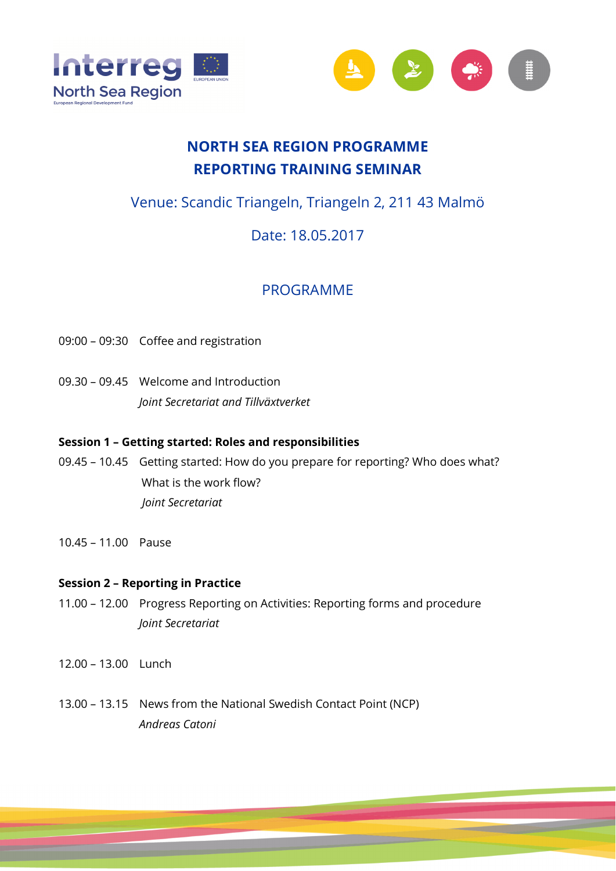



# **NORTH SEA REGION PROGRAMME REPORTING TRAINING SEMINAR**

# Venue: Scandic Triangeln, Triangeln 2, 211 43 Malmö

# Date: 18.05.2017

# PROGRAMME

- 09:00 09:30 Coffee and registration
- 09.30 09.45 Welcome and Introduction  *Joint Secretariat and Tillväxtverket*

## **Session 1 – Getting started: Roles and responsibilities**

- 09.45 10.45 Getting started: How do you prepare for reporting? Who does what? What is the work flow?  *Joint Secretariat*
- 10.45 11.00 Pause

### **Session 2 – Reporting in Practice**

- 11.00 12.00 Progress Reporting on Activities: Reporting forms and procedure *Joint Secretariat*
- 12.00 13.00 Lunch
- 13.00 13.15 News from the National Swedish Contact Point (NCP) *Andreas Catoni*